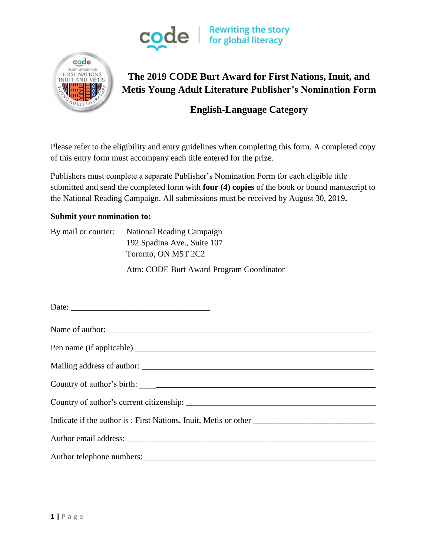



# **The 2019 CODE Burt Award for First Nations, Inuit, and Metis Young Adult Literature Publisher's Nomination Form**

# **English-Language Category**

Please refer to the eligibility and entry guidelines when completing this form. A completed copy of this entry form must accompany each title entered for the prize.

Publishers must complete a separate Publisher's Nomination Form for each eligible title submitted and send the completed form with **four (4) copies** of the book or bound manuscript to the National Reading Campaign. All submissions must be received by August 30, 2019**.**

#### **Submit your nomination to:**

By mail or courier: National Reading Campaign 192 Spadina Ave., Suite 107 Toronto, ON M5T 2C2

Attn: CODE Burt Award Program Coordinator

| Name of author:          |
|--------------------------|
| Pen name (if applicable) |
|                          |
|                          |
|                          |
|                          |
|                          |
|                          |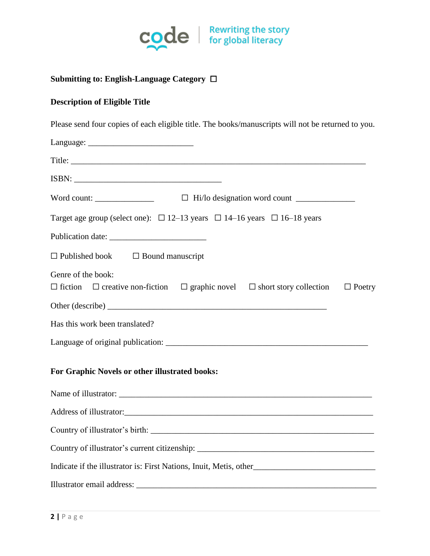

### **Submitting to: English-Language Category** ☐

#### **Description of Eligible Title**

Please send four copies of each eligible title. The books/manuscripts will not be returned to you.

| Word count: $\Box$ $\Box$ Hi/lo designation word count $\Box$                                                                        |
|--------------------------------------------------------------------------------------------------------------------------------------|
| Target age group (select one): $\Box$ 12–13 years $\Box$ 14–16 years $\Box$ 16–18 years                                              |
|                                                                                                                                      |
| $\Box$ Published book $\Box$ Bound manuscript                                                                                        |
| Genre of the book:<br>$\Box$ fiction $\Box$ creative non-fiction $\Box$ graphic novel $\Box$ short story collection<br>$\Box$ Poetry |
|                                                                                                                                      |
| Has this work been translated?                                                                                                       |
|                                                                                                                                      |
| For Graphic Novels or other illustrated books:                                                                                       |
|                                                                                                                                      |
|                                                                                                                                      |
|                                                                                                                                      |
|                                                                                                                                      |
| Indicate if the illustrator is: First Nations, Inuit, Metis, other__________________________________                                 |
| Illustrator email address:                                                                                                           |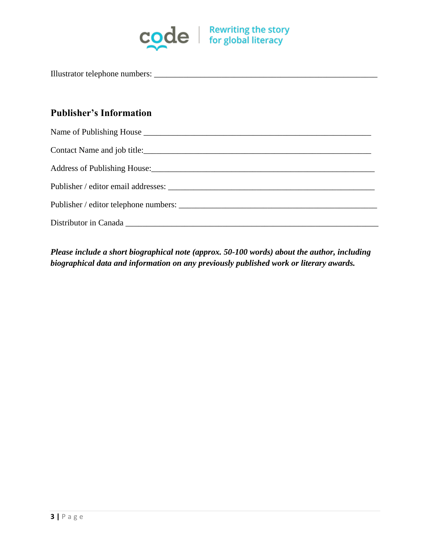

Illustrator telephone numbers: \_\_\_\_\_\_\_\_\_\_\_\_\_\_\_\_\_\_\_\_\_\_\_\_\_\_\_\_\_\_\_\_\_\_\_\_\_\_\_\_\_\_\_\_\_\_\_\_\_\_\_\_\_

# **Publisher's Information**

| Publisher / editor telephone numbers: |
|---------------------------------------|
|                                       |

*Please include a short biographical note (approx. 50-100 words) about the author, including biographical data and information on any previously published work or literary awards.*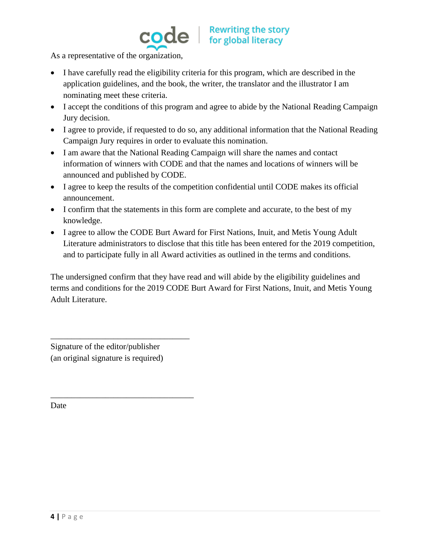

As a representative of the organization,

- I have carefully read the eligibility criteria for this program, which are described in the application guidelines, and the book, the writer, the translator and the illustrator I am nominating meet these criteria.
- I accept the conditions of this program and agree to abide by the National Reading Campaign Jury decision.
- I agree to provide, if requested to do so, any additional information that the National Reading Campaign Jury requires in order to evaluate this nomination.
- I am aware that the National Reading Campaign will share the names and contact information of winners with CODE and that the names and locations of winners will be announced and published by CODE.
- I agree to keep the results of the competition confidential until CODE makes its official announcement.
- I confirm that the statements in this form are complete and accurate, to the best of my knowledge.
- I agree to allow the CODE Burt Award for First Nations, Inuit, and Metis Young Adult Literature administrators to disclose that this title has been entered for the 2019 competition, and to participate fully in all Award activities as outlined in the terms and conditions.

The undersigned confirm that they have read and will abide by the eligibility guidelines and terms and conditions for the 2019 CODE Burt Award for First Nations, Inuit, and Metis Young Adult Literature.

Signature of the editor/publisher (an original signature is required)

\_\_\_\_\_\_\_\_\_\_\_\_\_\_\_\_\_\_\_\_\_\_\_\_\_\_\_\_\_\_\_\_\_

\_\_\_\_\_\_\_\_\_\_\_\_\_\_\_\_\_\_\_\_\_\_\_\_\_\_\_\_\_\_\_\_\_\_

Date